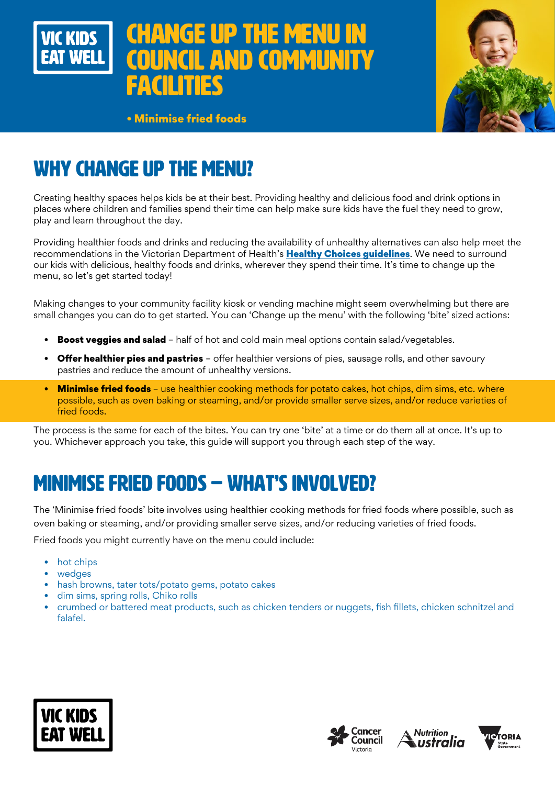

# **GE UP THE MENU AND COMMUNITY** facilities



• Minimise fried foods

# WHY CHANGE UP THE MENU?

Creating healthy spaces helps kids be at their best. Providing healthy and delicious food and drink options in places where children and families spend their time can help make sure kids have the fuel they need to grow, play and learn throughout the day.

Providing healthier foods and drinks and reducing the availability of unhealthy alternatives can also help meet the recommendations in the Victorian Department of Health's [Healthy Choices guidelines](https://www.health.vic.gov.au/preventive-health/healthy-choices). We need to surround our kids with delicious, healthy foods and drinks, wherever they spend their time. It's time to change up the menu, so let's get started today!

Making changes to your community facility kiosk or vending machine might seem overwhelming but there are small changes you can do to get started. You can 'Change up the menu' with the following 'bite' sized actions:

- **Boost veggies and salad** half of hot and cold main meal options contain salad/vegetables.
- **Offer healthier pies and pastries** offer healthier versions of pies, sausage rolls, and other savoury pastries and reduce the amount of unhealthy versions.
- Minimise fried foods use healthier cooking methods for potato cakes, hot chips, dim sims, etc. where possible, such as oven baking or steaming, and/or provide smaller serve sizes, and/or reduce varieties of fried foods.

The process is the same for each of the bites. You can try one 'bite' at a time or do them all at once. It's up to you. Whichever approach you take, this guide will support you through each step of the way.

# MINIMISE FRIED FOODS – WHAT'S INVOLVED?

The 'Minimise fried foods' bite involves using healthier cooking methods for fried foods where possible, such as oven baking or steaming, and/or providing smaller serve sizes, and/or reducing varieties of fried foods.

Fried foods you might currently have on the menu could include:

- hot chips
- wedges
- hash browns, tater tots/potato gems, potato cakes
- dim sims, spring rolls, Chiko rolls
- crumbed or battered meat products, such as chicken tenders or nuggets, fish fillets, chicken schnitzel and falafel.







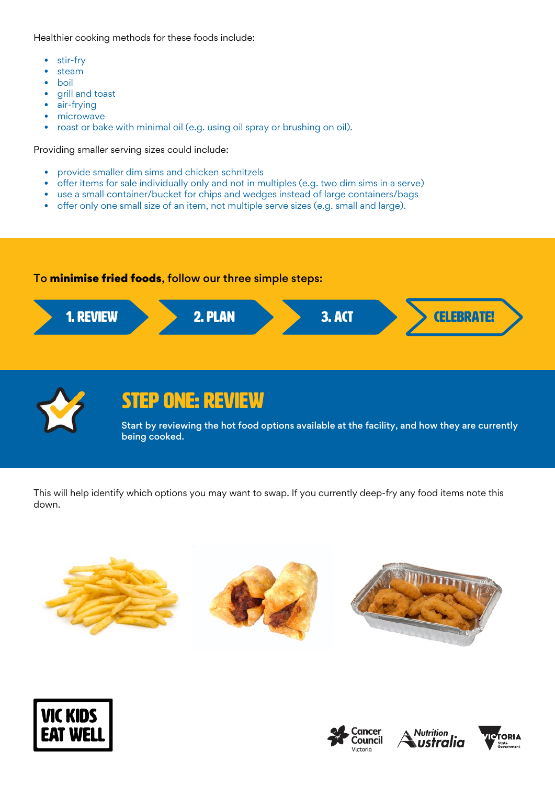Healthier cooking methods for these foods include:

- stir-fry
- steam
- boil
- grill and toast
- air-frying
- microwave
- roast or bake with minimal oil (e.g. using oil spray or brushing on oil).

Providing smaller serving sizes could include:

- provide smaller dim sims and chicken schnitzels
- offer items for sale individually only and not in multiples (e.g. two dim sims in a serve)
- use a small container/bucket for chips and wedges instead of large containers/bags
- offer only one small size of an item, not multiple serve sizes (e.g. small and large).

#### To minimise fried foods, follow our three simple steps:





### STEP ONE: REVIEW

Start by reviewing the hot food options available at the facility, and how they are currently being cooked.

This will help identify which options you may want to swap. If you currently deep-fry any food items note this down.









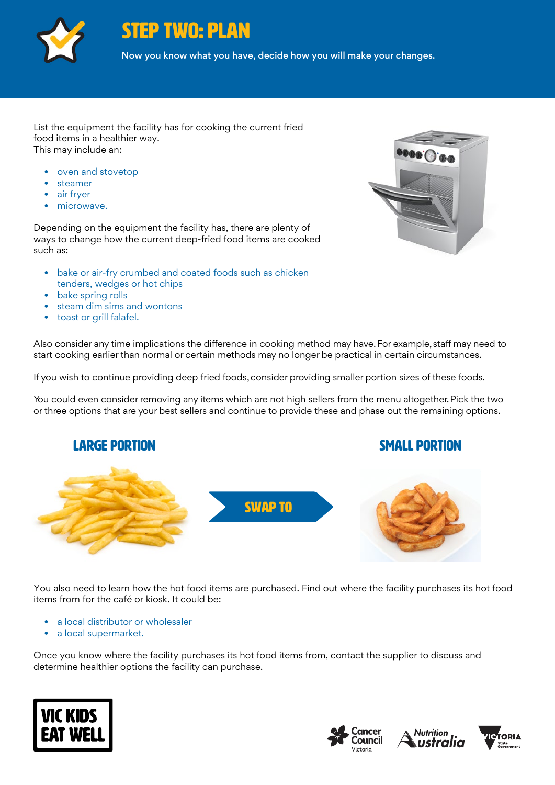

STEP TWO: PLAN

Now you know what you have, decide how you will make your changes.

List the equipment the facility has for cooking the current fried food items in a healthier way. This may include an:

- oven and stovetop
- steamer
- air fryer
- microwave.

Depending on the equipment the facility has, there are plenty of ways to change how the current deep-fried food items are cooked such as:

- bake or air-fry crumbed and coated foods such as chicken tenders, wedges or hot chips
- bake spring rolls
- steam dim sims and wontons
- toast or grill falafel.

Also consider any time implications the difference in cooking method may have. For example, staff may need to start cooking earlier than normal or certain methods may no longer be practical in certain circumstances.

If you wish to continue providing deep fried foods, consider providing smaller portion sizes of these foods.

You could even consider removing any items which are not high sellers from the menu altogether. Pick the two or three options that are your best sellers and continue to provide these and phase out the remaining options.



You also need to learn how the hot food items are purchased. Find out where the facility purchases its hot food items from for the café or kiosk. It could be:

- a local distributor or wholesaler
- a local supermarket.

Once you know where the facility purchases its hot food items from, contact the supplier to discuss and determine healthier options the facility can purchase.









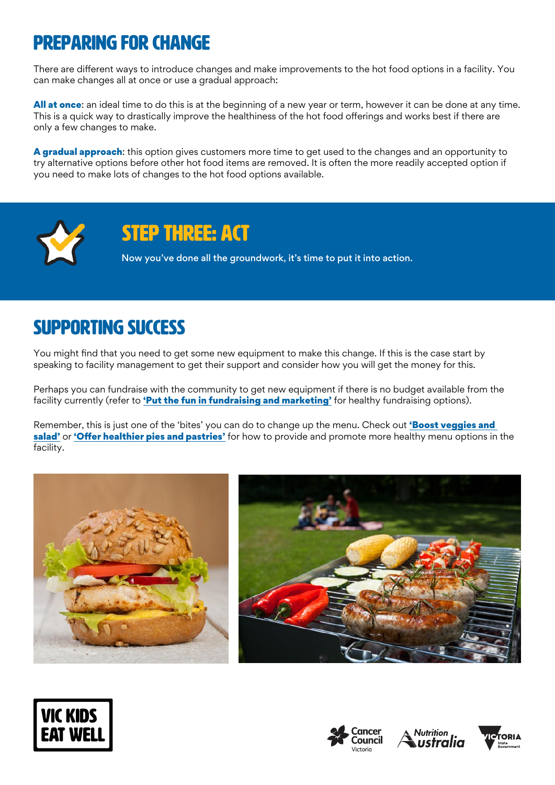## Preparing for change

There are different ways to introduce changes and make improvements to the hot food options in a facility. You can make changes all at once or use a gradual approach:

All at once: an ideal time to do this is at the beginning of a new year or term, however it can be done at any time. This is a quick way to drastically improve the healthiness of the hot food offerings and works best if there are only a few changes to make.

A gradual approach: this option gives customers more time to get used to the changes and an opportunity to try alternative options before other hot food items are removed. It is often the more readily accepted option if you need to make lots of changes to the hot food options available.



### STEP THREE: ACT

Now you've done all the groundwork, it's time to put it into action.

## SUPPORTING SUCCESS

You might find that you need to get some new equipment to make this change. If this is the case start by speaking to facility management to get their support and consider how you will get the money for this.

Perhaps you can fundraise with the community to get new equipment if there is no budget available from the facility currently (refer to ['Put the fun in fundraising and marketing'](https://www.vickidseatwell.health.vic.gov.au/resources) for healthy fundraising options).

Remember, this is just one of the 'bites' you can do to change up the menu. Check out 'Boost veggies and [salad'](https://www.vickidseatwell.health.vic.gov.au/resources) or ['Offer healthier pies and pastries'](https://www.vickidseatwell.health.vic.gov.au/resources) for how to provide and promote more healthy menu options in the facility.